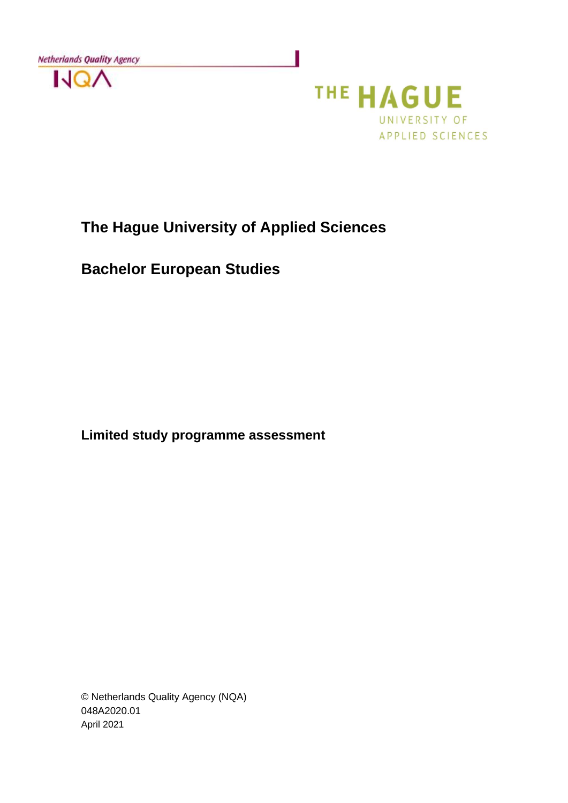



# **The Hague University of Applied Sciences**

**Bachelor European Studies**

**Limited study programme assessment**

© Netherlands Quality Agency (NQA) 048A2020.01 April 2021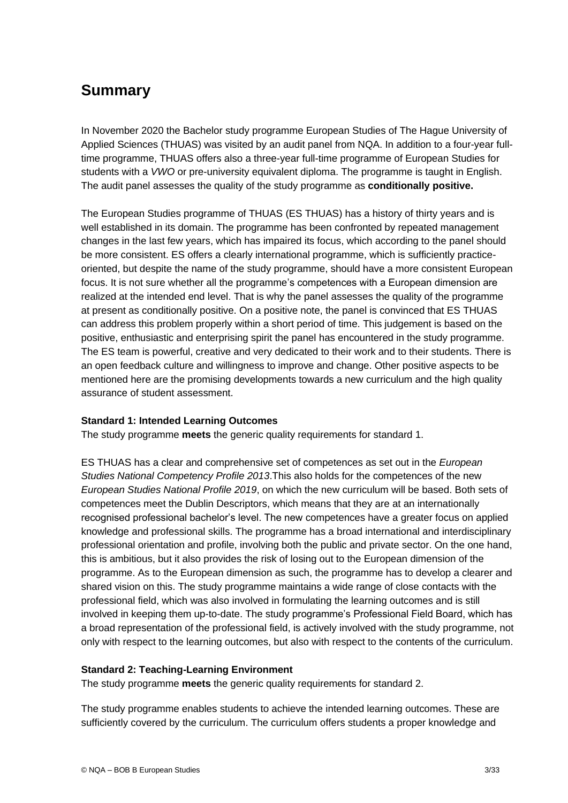# **Summary**

In November 2020 the Bachelor study programme European Studies of The Hague University of Applied Sciences (THUAS) was visited by an audit panel from NQA. In addition to a four-year fulltime programme, THUAS offers also a three-year full-time programme of European Studies for students with a *VWO* or pre-university equivalent diploma. The programme is taught in English. The audit panel assesses the quality of the study programme as **conditionally positive.**

The European Studies programme of THUAS (ES THUAS) has a history of thirty years and is well established in its domain. The programme has been confronted by repeated management changes in the last few years, which has impaired its focus, which according to the panel should be more consistent. ES offers a clearly international programme, which is sufficiently practiceoriented, but despite the name of the study programme, should have a more consistent European focus. It is not sure whether all the programme's competences with a European dimension are realized at the intended end level. That is why the panel assesses the quality of the programme at present as conditionally positive. On a positive note, the panel is convinced that ES THUAS can address this problem properly within a short period of time. This judgement is based on the positive, enthusiastic and enterprising spirit the panel has encountered in the study programme. The ES team is powerful, creative and very dedicated to their work and to their students. There is an open feedback culture and willingness to improve and change. Other positive aspects to be mentioned here are the promising developments towards a new curriculum and the high quality assurance of student assessment.

## **Standard 1: Intended Learning Outcomes**

The study programme **meets** the generic quality requirements for standard 1.

ES THUAS has a clear and comprehensive set of competences as set out in the *European Studies National Competency Profile 2013*.This also holds for the competences of the new *European Studies National Profile 2019*, on which the new curriculum will be based. Both sets of competences meet the Dublin Descriptors, which means that they are at an internationally recognised professional bachelor's level. The new competences have a greater focus on applied knowledge and professional skills. The programme has a broad international and interdisciplinary professional orientation and profile, involving both the public and private sector. On the one hand, this is ambitious, but it also provides the risk of losing out to the European dimension of the programme. As to the European dimension as such, the programme has to develop a clearer and shared vision on this. The study programme maintains a wide range of close contacts with the professional field, which was also involved in formulating the learning outcomes and is still involved in keeping them up-to-date. The study programme's Professional Field Board, which has a broad representation of the professional field, is actively involved with the study programme, not only with respect to the learning outcomes, but also with respect to the contents of the curriculum.

#### **Standard 2: Teaching-Learning Environment**

The study programme **meets** the generic quality requirements for standard 2.

The study programme enables students to achieve the intended learning outcomes. These are sufficiently covered by the curriculum. The curriculum offers students a proper knowledge and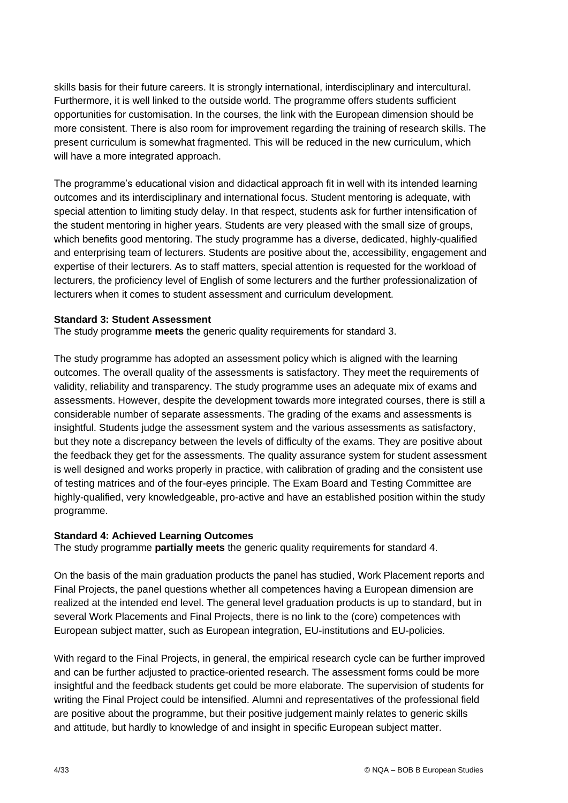skills basis for their future careers. It is strongly international, interdisciplinary and intercultural. Furthermore, it is well linked to the outside world. The programme offers students sufficient opportunities for customisation. In the courses, the link with the European dimension should be more consistent. There is also room for improvement regarding the training of research skills. The present curriculum is somewhat fragmented. This will be reduced in the new curriculum, which will have a more integrated approach.

The programme's educational vision and didactical approach fit in well with its intended learning outcomes and its interdisciplinary and international focus. Student mentoring is adequate, with special attention to limiting study delay. In that respect, students ask for further intensification of the student mentoring in higher years. Students are very pleased with the small size of groups, which benefits good mentoring. The study programme has a diverse, dedicated, highly-qualified and enterprising team of lecturers. Students are positive about the, accessibility, engagement and expertise of their lecturers. As to staff matters, special attention is requested for the workload of lecturers, the proficiency level of English of some lecturers and the further professionalization of lecturers when it comes to student assessment and curriculum development.

#### **Standard 3: Student Assessment**

The study programme **meets** the generic quality requirements for standard 3.

The study programme has adopted an assessment policy which is aligned with the learning outcomes. The overall quality of the assessments is satisfactory. They meet the requirements of validity, reliability and transparency. The study programme uses an adequate mix of exams and assessments. However, despite the development towards more integrated courses, there is still a considerable number of separate assessments. The grading of the exams and assessments is insightful. Students judge the assessment system and the various assessments as satisfactory, but they note a discrepancy between the levels of difficulty of the exams. They are positive about the feedback they get for the assessments. The quality assurance system for student assessment is well designed and works properly in practice, with calibration of grading and the consistent use of testing matrices and of the four-eyes principle. The Exam Board and Testing Committee are highly-qualified, very knowledgeable, pro-active and have an established position within the study programme.

#### **Standard 4: Achieved Learning Outcomes**

The study programme **partially meets** the generic quality requirements for standard 4.

On the basis of the main graduation products the panel has studied, Work Placement reports and Final Projects, the panel questions whether all competences having a European dimension are realized at the intended end level. The general level graduation products is up to standard, but in several Work Placements and Final Projects, there is no link to the (core) competences with European subject matter, such as European integration, EU-institutions and EU-policies.

With regard to the Final Projects, in general, the empirical research cycle can be further improved and can be further adjusted to practice-oriented research. The assessment forms could be more insightful and the feedback students get could be more elaborate. The supervision of students for writing the Final Project could be intensified. Alumni and representatives of the professional field are positive about the programme, but their positive judgement mainly relates to generic skills and attitude, but hardly to knowledge of and insight in specific European subject matter.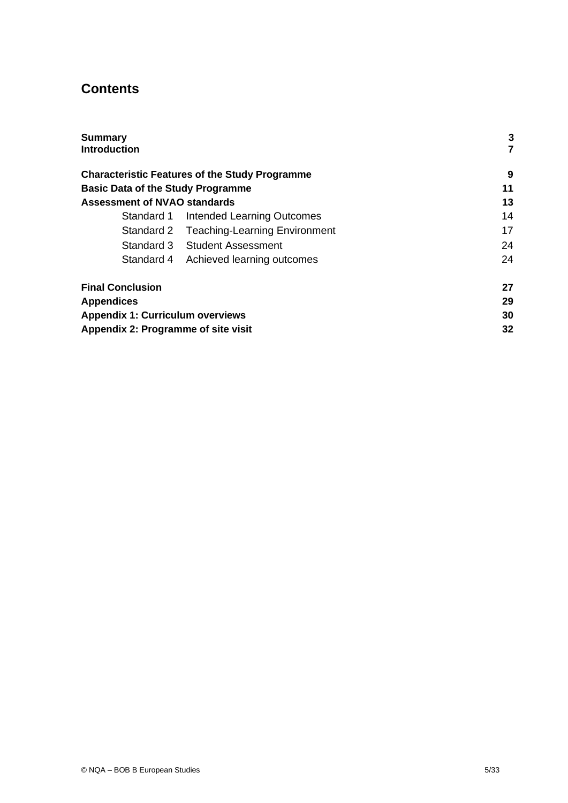# **Contents**

| <b>Summary</b>                           |                                                       | 3  |
|------------------------------------------|-------------------------------------------------------|----|
| <b>Introduction</b>                      |                                                       | 7  |
|                                          | <b>Characteristic Features of the Study Programme</b> | 9  |
| <b>Basic Data of the Study Programme</b> |                                                       | 11 |
| <b>Assessment of NVAO standards</b>      |                                                       | 13 |
| Standard 1                               | Intended Learning Outcomes                            | 14 |
|                                          | Standard 2 Teaching-Learning Environment              | 17 |
|                                          | Standard 3 Student Assessment                         | 24 |
| Standard 4                               | Achieved learning outcomes                            | 24 |
| <b>Final Conclusion</b>                  |                                                       | 27 |
| <b>Appendices</b>                        |                                                       | 29 |
| <b>Appendix 1: Curriculum overviews</b>  |                                                       | 30 |
| Appendix 2: Programme of site visit      |                                                       | 32 |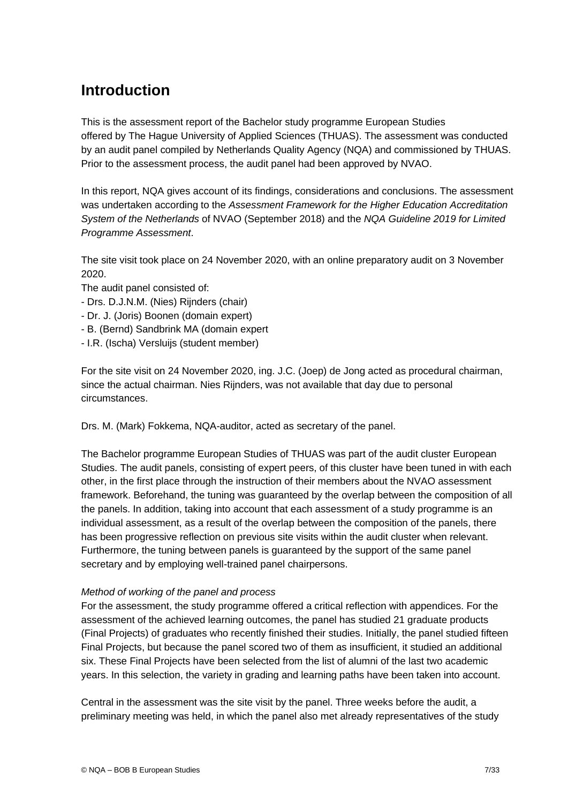# **Introduction**

This is the assessment report of the Bachelor study programme European Studies offered by The Hague University of Applied Sciences (THUAS). The assessment was conducted by an audit panel compiled by Netherlands Quality Agency (NQA) and commissioned by THUAS. Prior to the assessment process, the audit panel had been approved by NVAO.

In this report, NQA gives account of its findings, considerations and conclusions. The assessment was undertaken according to the *Assessment Framework for the Higher Education Accreditation System of the Netherlands* of NVAO (September 2018) and the *NQA Guideline 2019 for Limited Programme Assessment*.

The site visit took place on 24 November 2020, with an online preparatory audit on 3 November 2020.

The audit panel consisted of:

- Drs. D.J.N.M. (Nies) Rijnders (chair)
- Dr. J. (Joris) Boonen (domain expert)
- B. (Bernd) Sandbrink MA (domain expert
- I.R. (Ischa) Versluijs (student member)

For the site visit on 24 November 2020, ing. J.C. (Joep) de Jong acted as procedural chairman, since the actual chairman. Nies Rijnders, was not available that day due to personal circumstances.

Drs. M. (Mark) Fokkema, NQA-auditor, acted as secretary of the panel.

The Bachelor programme European Studies of THUAS was part of the audit cluster European Studies. The audit panels, consisting of expert peers, of this cluster have been tuned in with each other, in the first place through the instruction of their members about the NVAO assessment framework. Beforehand, the tuning was guaranteed by the overlap between the composition of all the panels. In addition, taking into account that each assessment of a study programme is an individual assessment, as a result of the overlap between the composition of the panels, there has been progressive reflection on previous site visits within the audit cluster when relevant. Furthermore, the tuning between panels is guaranteed by the support of the same panel secretary and by employing well-trained panel chairpersons.

#### *Method of working of the panel and process*

For the assessment, the study programme offered a critical reflection with appendices. For the assessment of the achieved learning outcomes, the panel has studied 21 graduate products (Final Projects) of graduates who recently finished their studies. Initially, the panel studied fifteen Final Projects, but because the panel scored two of them as insufficient, it studied an additional six. These Final Projects have been selected from the list of alumni of the last two academic years. In this selection, the variety in grading and learning paths have been taken into account.

Central in the assessment was the site visit by the panel. Three weeks before the audit, a preliminary meeting was held, in which the panel also met already representatives of the study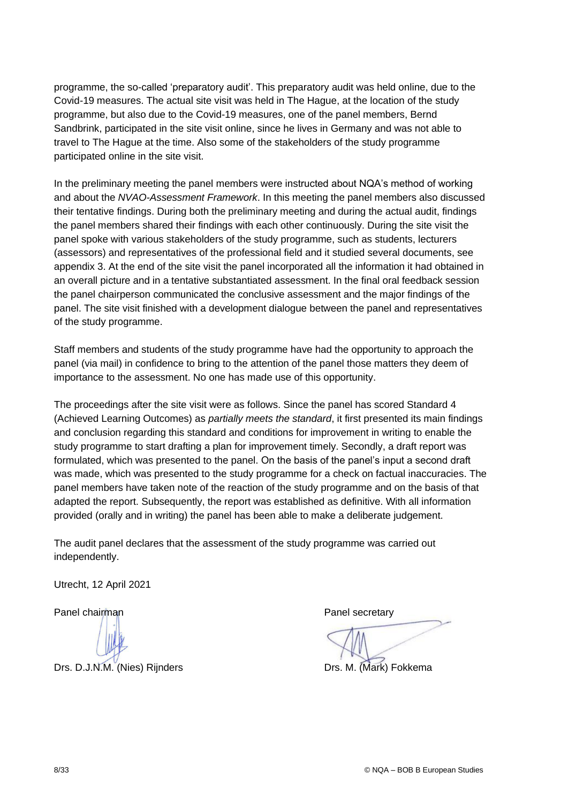programme, the so-called 'preparatory audit'. This preparatory audit was held online, due to the Covid-19 measures. The actual site visit was held in The Hague, at the location of the study programme, but also due to the Covid-19 measures, one of the panel members, Bernd Sandbrink, participated in the site visit online, since he lives in Germany and was not able to travel to The Hague at the time. Also some of the stakeholders of the study programme participated online in the site visit.

In the preliminary meeting the panel members were instructed about NQA's method of working and about the *NVAO-Assessment Framework*. In this meeting the panel members also discussed their tentative findings. During both the preliminary meeting and during the actual audit, findings the panel members shared their findings with each other continuously. During the site visit the panel spoke with various stakeholders of the study programme, such as students, lecturers (assessors) and representatives of the professional field and it studied several documents, see appendix 3. At the end of the site visit the panel incorporated all the information it had obtained in an overall picture and in a tentative substantiated assessment. In the final oral feedback session the panel chairperson communicated the conclusive assessment and the major findings of the panel. The site visit finished with a development dialogue between the panel and representatives of the study programme.

Staff members and students of the study programme have had the opportunity to approach the panel (via mail) in confidence to bring to the attention of the panel those matters they deem of importance to the assessment. No one has made use of this opportunity.

The proceedings after the site visit were as follows. Since the panel has scored Standard 4 (Achieved Learning Outcomes) as *partially meets the standard*, it first presented its main findings and conclusion regarding this standard and conditions for improvement in writing to enable the study programme to start drafting a plan for improvement timely. Secondly, a draft report was formulated, which was presented to the panel. On the basis of the panel's input a second draft was made, which was presented to the study programme for a check on factual inaccuracies. The panel members have taken note of the reaction of the study programme and on the basis of that adapted the report. Subsequently, the report was established as definitive. With all information provided (orally and in writing) the panel has been able to make a deliberate judgement.

The audit panel declares that the assessment of the study programme was carried out independently.

Utrecht, 12 April 2021

Drs. D.J.N.M. (Nies) Rijnders **Drs. M. (Mark) Fokkema** 

Panel chairman **Panel secretary** Panel secretary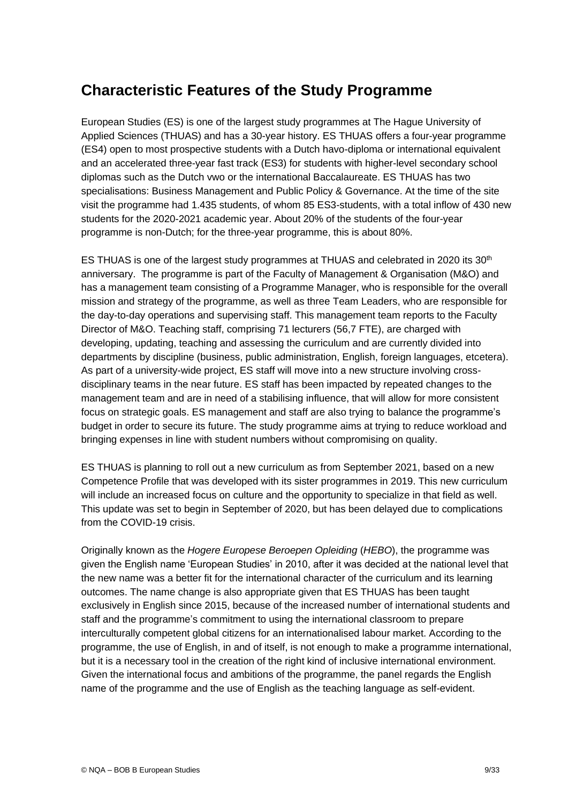# <span id="page-8-0"></span>**Characteristic Features of the Study Programme**

European Studies (ES) is one of the largest study programmes at The Hague University of Applied Sciences (THUAS) and has a 30-year history. ES THUAS offers a four-year programme (ES4) open to most prospective students with a Dutch havo-diploma or international equivalent and an accelerated three-year fast track (ES3) for students with higher-level secondary school diplomas such as the Dutch vwo or the international Baccalaureate. ES THUAS has two specialisations: Business Management and Public Policy & Governance. At the time of the site visit the programme had 1.435 students, of whom 85 ES3-students, with a total inflow of 430 new students for the 2020-2021 academic year. About 20% of the students of the four-year programme is non-Dutch; for the three-year programme, this is about 80%.

ES THUAS is one of the largest study programmes at THUAS and celebrated in 2020 its 30<sup>th</sup> anniversary. The programme is part of the Faculty of Management & Organisation (M&O) and has a management team consisting of a Programme Manager, who is responsible for the overall mission and strategy of the programme, as well as three Team Leaders, who are responsible for the day-to-day operations and supervising staff. This management team reports to the Faculty Director of M&O. Teaching staff, comprising 71 lecturers (56,7 FTE), are charged with developing, updating, teaching and assessing the curriculum and are currently divided into departments by discipline (business, public administration, English, foreign languages, etcetera). As part of a university-wide project, ES staff will move into a new structure involving crossdisciplinary teams in the near future. ES staff has been impacted by repeated changes to the management team and are in need of a stabilising influence, that will allow for more consistent focus on strategic goals. ES management and staff are also trying to balance the programme's budget in order to secure its future. The study programme aims at trying to reduce workload and bringing expenses in line with student numbers without compromising on quality.

ES THUAS is planning to roll out a new curriculum as from September 2021, based on a new Competence Profile that was developed with its sister programmes in 2019. This new curriculum will include an increased focus on culture and the opportunity to specialize in that field as well. This update was set to begin in September of 2020, but has been delayed due to complications from the COVID-19 crisis.

Originally known as the *Hogere Europese Beroepen Opleiding* (*HEBO*), the programme was given the English name 'European Studies' in 2010, after it was decided at the national level that the new name was a better fit for the international character of the curriculum and its learning outcomes. The name change is also appropriate given that ES THUAS has been taught exclusively in English since 2015, because of the increased number of international students and staff and the programme's commitment to using the international classroom to prepare interculturally competent global citizens for an internationalised labour market. According to the programme, the use of English, in and of itself, is not enough to make a programme international, but it is a necessary tool in the creation of the right kind of inclusive international environment. Given the international focus and ambitions of the programme, the panel regards the English name of the programme and the use of English as the teaching language as self-evident.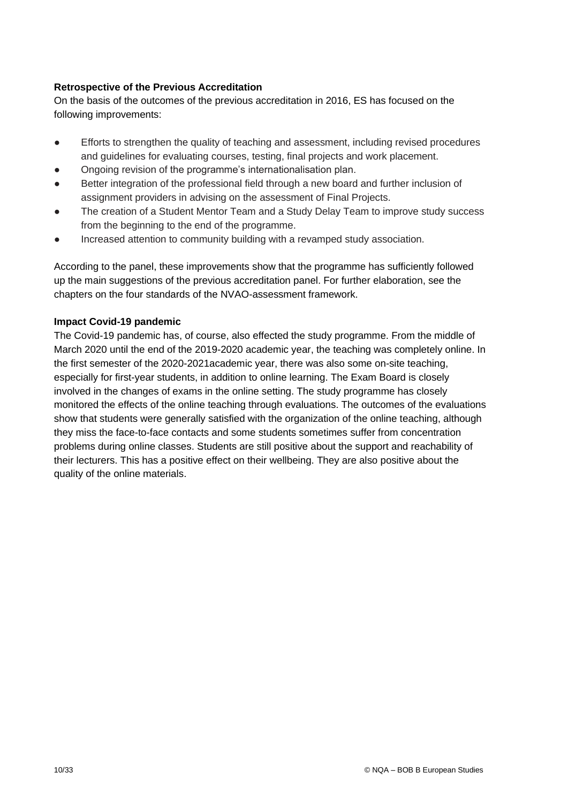## **Retrospective of the Previous Accreditation**

On the basis of the outcomes of the previous accreditation in 2016, ES has focused on the following improvements:

- Efforts to strengthen the quality of teaching and assessment, including revised procedures and guidelines for evaluating courses, testing, final projects and work placement.
- Ongoing revision of the programme's internationalisation plan.
- Better integration of the professional field through a new board and further inclusion of assignment providers in advising on the assessment of Final Projects.
- The creation of a Student Mentor Team and a Study Delay Team to improve study success from the beginning to the end of the programme.
- Increased attention to community building with a revamped study association.

According to the panel, these improvements show that the programme has sufficiently followed up the main suggestions of the previous accreditation panel. For further elaboration, see the chapters on the four standards of the NVAO-assessment framework.

## **Impact Covid-19 pandemic**

The Covid-19 pandemic has, of course, also effected the study programme. From the middle of March 2020 until the end of the 2019-2020 academic year, the teaching was completely online. In the first semester of the 2020-2021academic year, there was also some on-site teaching, especially for first-year students, in addition to online learning. The Exam Board is closely involved in the changes of exams in the online setting. The study programme has closely monitored the effects of the online teaching through evaluations. The outcomes of the evaluations show that students were generally satisfied with the organization of the online teaching, although they miss the face-to-face contacts and some students sometimes suffer from concentration problems during online classes. Students are still positive about the support and reachability of their lecturers. This has a positive effect on their wellbeing. They are also positive about the quality of the online materials.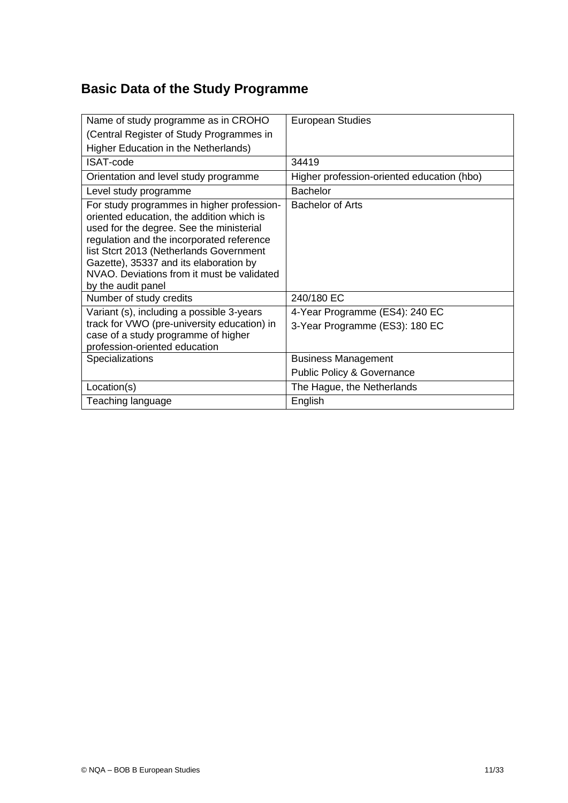# <span id="page-10-0"></span>**Basic Data of the Study Programme**

| Name of study programme as in CROHO                                                                                                                                                                                                                                                                                                       | <b>European Studies</b>                    |
|-------------------------------------------------------------------------------------------------------------------------------------------------------------------------------------------------------------------------------------------------------------------------------------------------------------------------------------------|--------------------------------------------|
| (Central Register of Study Programmes in                                                                                                                                                                                                                                                                                                  |                                            |
| Higher Education in the Netherlands)                                                                                                                                                                                                                                                                                                      |                                            |
| <b>ISAT-code</b>                                                                                                                                                                                                                                                                                                                          | 34419                                      |
| Orientation and level study programme                                                                                                                                                                                                                                                                                                     | Higher profession-oriented education (hbo) |
| Level study programme                                                                                                                                                                                                                                                                                                                     | <b>Bachelor</b>                            |
| For study programmes in higher profession-<br>oriented education, the addition which is<br>used for the degree. See the ministerial<br>regulation and the incorporated reference<br>list Stcrt 2013 (Netherlands Government<br>Gazette), 35337 and its elaboration by<br>NVAO. Deviations from it must be validated<br>by the audit panel | <b>Bachelor of Arts</b>                    |
| Number of study credits                                                                                                                                                                                                                                                                                                                   | 240/180 EC                                 |
| Variant (s), including a possible 3-years                                                                                                                                                                                                                                                                                                 | 4-Year Programme (ES4): 240 EC             |
| track for VWO (pre-university education) in<br>case of a study programme of higher<br>profession-oriented education                                                                                                                                                                                                                       | 3-Year Programme (ES3): 180 EC             |
| Specializations                                                                                                                                                                                                                                                                                                                           | <b>Business Management</b>                 |
|                                                                                                                                                                                                                                                                                                                                           | <b>Public Policy &amp; Governance</b>      |
| Location(s)                                                                                                                                                                                                                                                                                                                               | The Hague, the Netherlands                 |
| Teaching language                                                                                                                                                                                                                                                                                                                         | English                                    |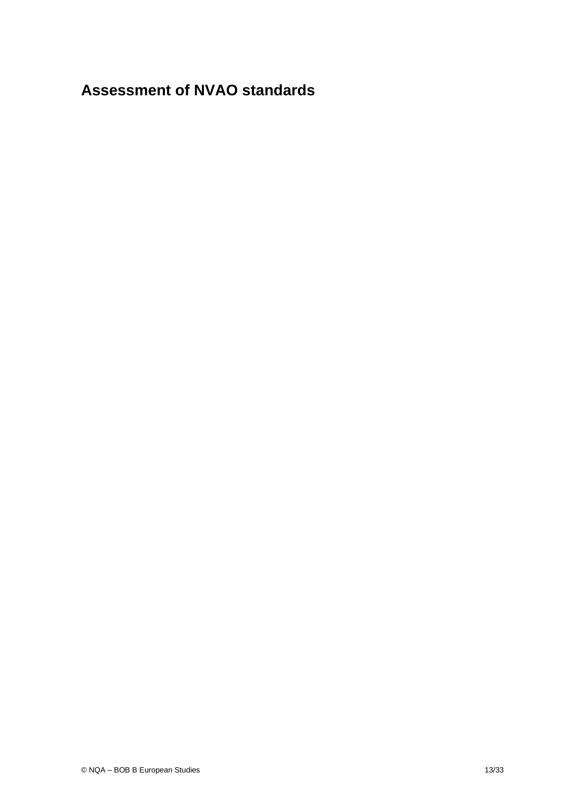# <span id="page-12-0"></span>**Assessment of NVAO standards**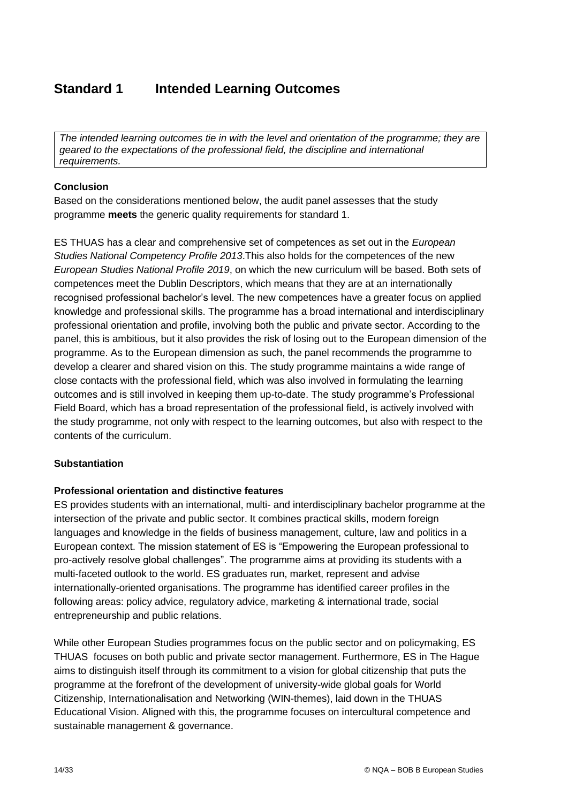# <span id="page-13-0"></span>**Standard 1 Intended Learning Outcomes**

*The intended learning outcomes tie in with the level and orientation of the programme; they are geared to the expectations of the professional field, the discipline and international requirements.* 

## **Conclusion**

Based on the considerations mentioned below, the audit panel assesses that the study programme **meets** the generic quality requirements for standard 1.

ES THUAS has a clear and comprehensive set of competences as set out in the *European Studies National Competency Profile 2013*.This also holds for the competences of the new *European Studies National Profile 2019*, on which the new curriculum will be based. Both sets of competences meet the Dublin Descriptors, which means that they are at an internationally recognised professional bachelor's level. The new competences have a greater focus on applied knowledge and professional skills. The programme has a broad international and interdisciplinary professional orientation and profile, involving both the public and private sector. According to the panel, this is ambitious, but it also provides the risk of losing out to the European dimension of the programme. As to the European dimension as such, the panel recommends the programme to develop a clearer and shared vision on this. The study programme maintains a wide range of close contacts with the professional field, which was also involved in formulating the learning outcomes and is still involved in keeping them up-to-date. The study programme's Professional Field Board, which has a broad representation of the professional field, is actively involved with the study programme, not only with respect to the learning outcomes, but also with respect to the contents of the curriculum.

## **Substantiation**

## **Professional orientation and distinctive features**

ES provides students with an international, multi- and interdisciplinary bachelor programme at the intersection of the private and public sector. It combines practical skills, modern foreign languages and knowledge in the fields of business management, culture, law and politics in a European context. The mission statement of ES is "Empowering the European professional to pro-actively resolve global challenges". The programme aims at providing its students with a multi-faceted outlook to the world. ES graduates run, market, represent and advise internationally-oriented organisations. The programme has identified career profiles in the following areas: policy advice, regulatory advice, marketing & international trade, social entrepreneurship and public relations.

While other European Studies programmes focus on the public sector and on policymaking, ES THUAS focuses on both public and private sector management. Furthermore, ES in The Hague aims to distinguish itself through its commitment to a vision for global citizenship that puts the programme at the forefront of the development of university-wide global goals for World Citizenship, Internationalisation and Networking (WIN-themes), laid down in the THUAS Educational Vision. Aligned with this, the programme focuses on intercultural competence and sustainable management & governance.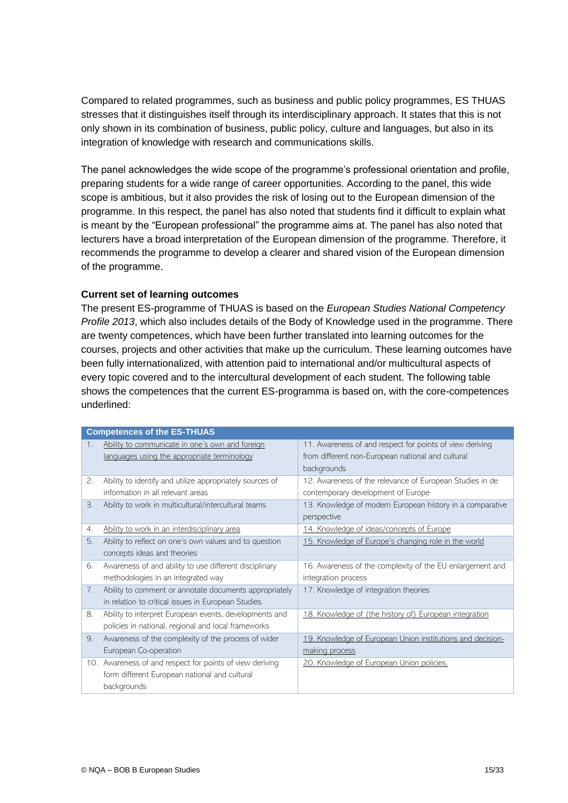Compared to related programmes, such as business and public policy programmes, ES THUAS stresses that it distinguishes itself through its interdisciplinary approach. It states that this is not only shown in its combination of business, public policy, culture and languages, but also in its integration of knowledge with research and communications skills.

The panel acknowledges the wide scope of the programme's professional orientation and profile, preparing students for a wide range of career opportunities. According to the panel, this wide scope is ambitious, but it also provides the risk of losing out to the European dimension of the programme. In this respect, the panel has also noted that students find it difficult to explain what is meant by the "European professional" the programme aims at. The panel has also noted that lecturers have a broad interpretation of the European dimension of the programme. Therefore, it recommends the programme to develop a clearer and shared vision of the European dimension of the programme.

#### **Current set of learning outcomes**

The present ES-programme of THUAS is based on the *European Studies National Competency Profile 2013*, which also includes details of the Body of Knowledge used in the programme. There are twenty competences, which have been further translated into learning outcomes for the courses, projects and other activities that make up the curriculum. These learning outcomes have been fully internationalized, with attention paid to international and/or multicultural aspects of every topic covered and to the intercultural development of each student. The following table shows the competences that the current ES-programma is based on, with the core-competences underlined:

|     | <b>Competences of the ES-THUAS</b>                       |                                                            |
|-----|----------------------------------------------------------|------------------------------------------------------------|
| 1.  | Ability to communicate in one's own and foreign          | 11. Awareness of and respect for points of view deriving   |
|     | languages using the appropriate terminology              | from different non-European national and cultural          |
|     |                                                          | backgrounds                                                |
| 2.  | Ability to identify and utilize appropriately sources of | 12. Awareness of the relevance of European Studies in de   |
|     | information in all relevant areas                        | contemporary development of Europe                         |
| 3.  | Ability to work in multicultural/intercultural teams     | 13. Knowledge of modern European history in a comparative  |
|     |                                                          | perspective                                                |
| 4.  | Ability to work in an interdisciplinary area             | 14. Knowledge of ideas/concepts of Europe                  |
| 5.  | Ability to reflect on one's own values and to question   | 15. Knowledge of Europe's changing role in the world       |
|     | concepts ideas and theories                              |                                                            |
| 6.  | Awareness of and ability to use different disciplinary   | 16. Awareness of the complexity of the EU enlargement and  |
|     | methodologies in an integrated way                       | integration process                                        |
| 7.  | Ability to comment or annotate documents appropriately   | 17. Knowledge of integration theories                      |
|     | in relation to critical issues in European Studies.      |                                                            |
| 8.  | Ability to interpret European events, developments and   | 18. Knowledge of (the history of) European integration     |
|     | policies in national, regional and local frameworks      |                                                            |
| 9.  | Awareness of the complexity of the process of wider      | 19. Knowledge of European Union institutions and decision- |
|     | European Co-operation                                    | making process                                             |
| 10. | Awareness of and respect for points of view deriving     | 20. Knowledge of European Union policies.                  |
|     | form different European national and cultural            |                                                            |
|     | backgrounds                                              |                                                            |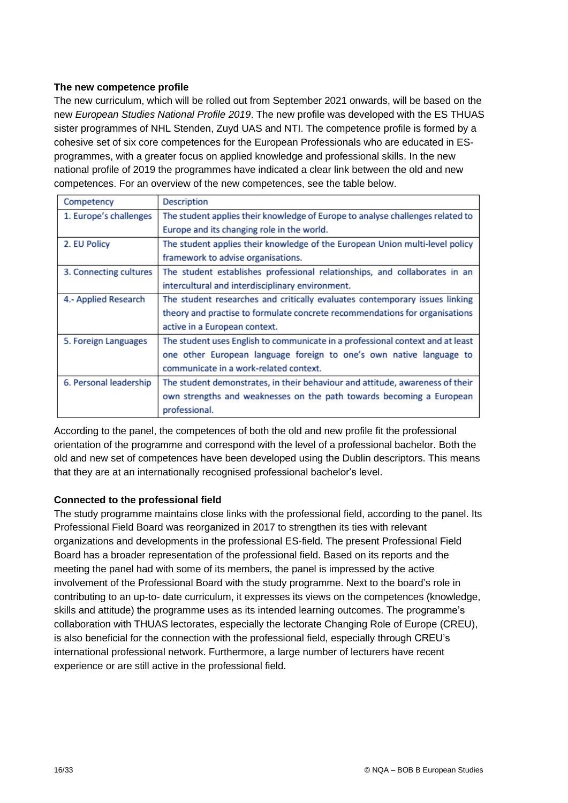## **The new competence profile**

The new curriculum, which will be rolled out from September 2021 onwards, will be based on the new *European Studies National Profile 2019*. The new profile was developed with the ES THUAS sister programmes of NHL Stenden, Zuyd UAS and NTI. The competence profile is formed by a cohesive set of six core competences for the European Professionals who are educated in ESprogrammes, with a greater focus on applied knowledge and professional skills. In the new national profile of 2019 the programmes have indicated a clear link between the old and new competences. For an overview of the new competences, see the table below.

| Competency             | <b>Description</b>                                                             |
|------------------------|--------------------------------------------------------------------------------|
| 1. Europe's challenges | The student applies their knowledge of Europe to analyse challenges related to |
|                        | Europe and its changing role in the world.                                     |
| 2. EU Policy           | The student applies their knowledge of the European Union multi-level policy   |
|                        | framework to advise organisations.                                             |
| 3. Connecting cultures | The student establishes professional relationships, and collaborates in an     |
|                        | intercultural and interdisciplinary environment.                               |
| 4.- Applied Research   | The student researches and critically evaluates contemporary issues linking    |
|                        | theory and practise to formulate concrete recommendations for organisations    |
|                        | active in a European context.                                                  |
| 5. Foreign Languages   | The student uses English to communicate in a professional context and at least |
|                        | one other European language foreign to one's own native language to            |
|                        | communicate in a work-related context.                                         |
| 6. Personal leadership | The student demonstrates, in their behaviour and attitude, awareness of their  |
|                        | own strengths and weaknesses on the path towards becoming a European           |
|                        | professional.                                                                  |

According to the panel, the competences of both the old and new profile fit the professional orientation of the programme and correspond with the level of a professional bachelor. Both the old and new set of competences have been developed using the Dublin descriptors. This means that they are at an internationally recognised professional bachelor's level.

#### **Connected to the professional field**

The study programme maintains close links with the professional field, according to the panel. Its Professional Field Board was reorganized in 2017 to strengthen its ties with relevant organizations and developments in the professional ES-field. The present Professional Field Board has a broader representation of the professional field. Based on its reports and the meeting the panel had with some of its members, the panel is impressed by the active involvement of the Professional Board with the study programme. Next to the board's role in contributing to an up-to- date curriculum, it expresses its views on the competences (knowledge, skills and attitude) the programme uses as its intended learning outcomes. The programme's collaboration with THUAS lectorates, especially the lectorate Changing Role of Europe (CREU), is also beneficial for the connection with the professional field, especially through CREU's international professional network. Furthermore, a large number of lecturers have recent experience or are still active in the professional field.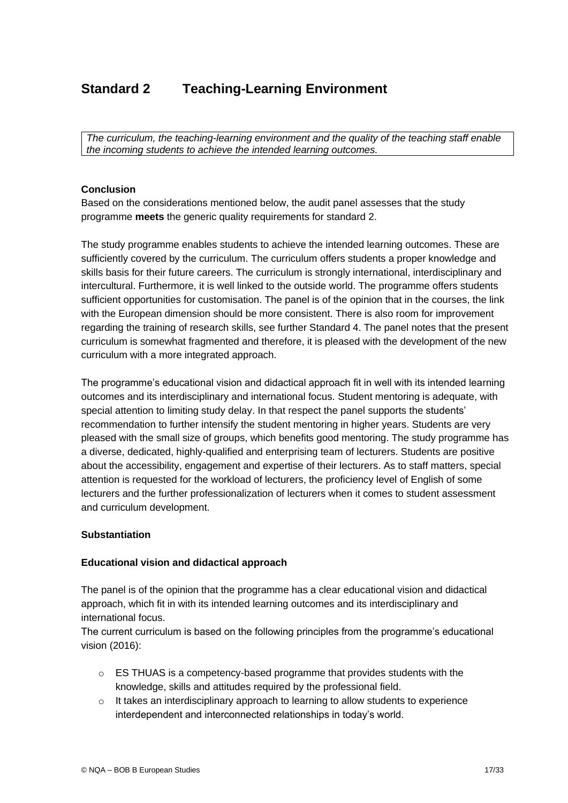# <span id="page-16-0"></span>**Standard 2 Teaching-Learning Environment**

*The curriculum, the teaching-learning environment and the quality of the teaching staff enable the incoming students to achieve the intended learning outcomes.*

#### **Conclusion**

Based on the considerations mentioned below, the audit panel assesses that the study programme **meets** the generic quality requirements for standard 2.

The study programme enables students to achieve the intended learning outcomes. These are sufficiently covered by the curriculum. The curriculum offers students a proper knowledge and skills basis for their future careers. The curriculum is strongly international, interdisciplinary and intercultural. Furthermore, it is well linked to the outside world. The programme offers students sufficient opportunities for customisation. The panel is of the opinion that in the courses, the link with the European dimension should be more consistent. There is also room for improvement regarding the training of research skills, see further Standard 4. The panel notes that the present curriculum is somewhat fragmented and therefore, it is pleased with the development of the new curriculum with a more integrated approach.

The programme's educational vision and didactical approach fit in well with its intended learning outcomes and its interdisciplinary and international focus. Student mentoring is adequate, with special attention to limiting study delay. In that respect the panel supports the students' recommendation to further intensify the student mentoring in higher years. Students are very pleased with the small size of groups, which benefits good mentoring. The study programme has a diverse, dedicated, highly-qualified and enterprising team of lecturers. Students are positive about the accessibility, engagement and expertise of their lecturers. As to staff matters, special attention is requested for the workload of lecturers, the proficiency level of English of some lecturers and the further professionalization of lecturers when it comes to student assessment and curriculum development.

#### **Substantiation**

#### **Educational vision and didactical approach**

The panel is of the opinion that the programme has a clear educational vision and didactical approach, which fit in with its intended learning outcomes and its interdisciplinary and international focus.

The current curriculum is based on the following principles from the programme's educational vision (2016):

- o ES THUAS is a competency-based programme that provides students with the knowledge, skills and attitudes required by the professional field.
- $\circ$  It takes an interdisciplinary approach to learning to allow students to experience interdependent and interconnected relationships in today's world.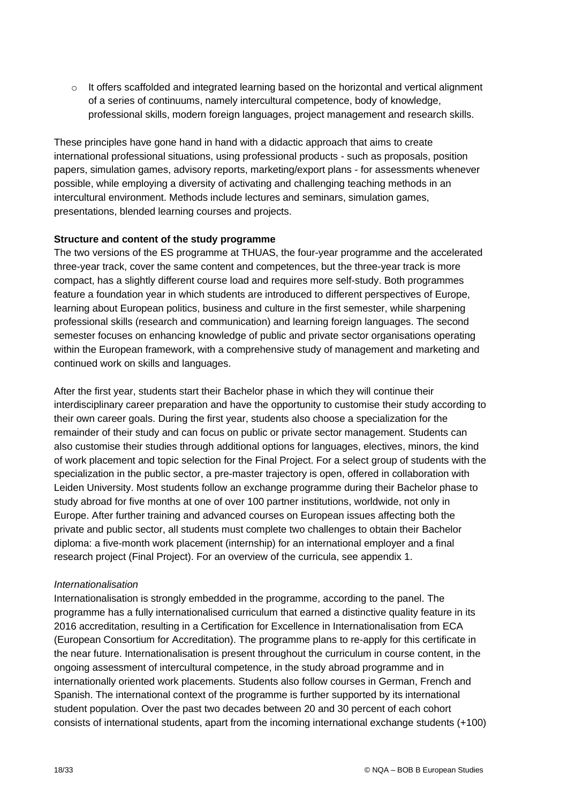$\circ$  It offers scaffolded and integrated learning based on the horizontal and vertical alignment of a series of continuums, namely intercultural competence, body of knowledge, professional skills, modern foreign languages, project management and research skills.

These principles have gone hand in hand with a didactic approach that aims to create international professional situations, using professional products - such as proposals, position papers, simulation games, advisory reports, marketing/export plans - for assessments whenever possible, while employing a diversity of activating and challenging teaching methods in an intercultural environment. Methods include lectures and seminars, simulation games, presentations, blended learning courses and projects.

#### **Structure and content of the study programme**

The two versions of the ES programme at THUAS, the four-year programme and the accelerated three-year track, cover the same content and competences, but the three-year track is more compact, has a slightly different course load and requires more self-study. Both programmes feature a foundation year in which students are introduced to different perspectives of Europe, learning about European politics, business and culture in the first semester, while sharpening professional skills (research and communication) and learning foreign languages. The second semester focuses on enhancing knowledge of public and private sector organisations operating within the European framework, with a comprehensive study of management and marketing and continued work on skills and languages.

After the first year, students start their Bachelor phase in which they will continue their interdisciplinary career preparation and have the opportunity to customise their study according to their own career goals. During the first year, students also choose a specialization for the remainder of their study and can focus on public or private sector management. Students can also customise their studies through additional options for languages, electives, minors, the kind of work placement and topic selection for the Final Project. For a select group of students with the specialization in the public sector, a pre-master trajectory is open, offered in collaboration with Leiden University. Most students follow an exchange programme during their Bachelor phase to study abroad for five months at one of over 100 partner institutions, worldwide, not only in Europe. After further training and advanced courses on European issues affecting both the private and public sector, all students must complete two challenges to obtain their Bachelor diploma: a five-month work placement (internship) for an international employer and a final research project (Final Project). For an overview of the curricula, see appendix 1.

## *Internationalisation*

Internationalisation is strongly embedded in the programme, according to the panel. The programme has a fully internationalised curriculum that earned a distinctive quality feature in its 2016 accreditation, resulting in a Certification for Excellence in Internationalisation from ECA (European Consortium for Accreditation). The programme plans to re-apply for this certificate in the near future. Internationalisation is present throughout the curriculum in course content, in the ongoing assessment of intercultural competence, in the study abroad programme and in internationally oriented work placements. Students also follow courses in German, French and Spanish. The international context of the programme is further supported by its international student population. Over the past two decades between 20 and 30 percent of each cohort consists of international students, apart from the incoming international exchange students (+100)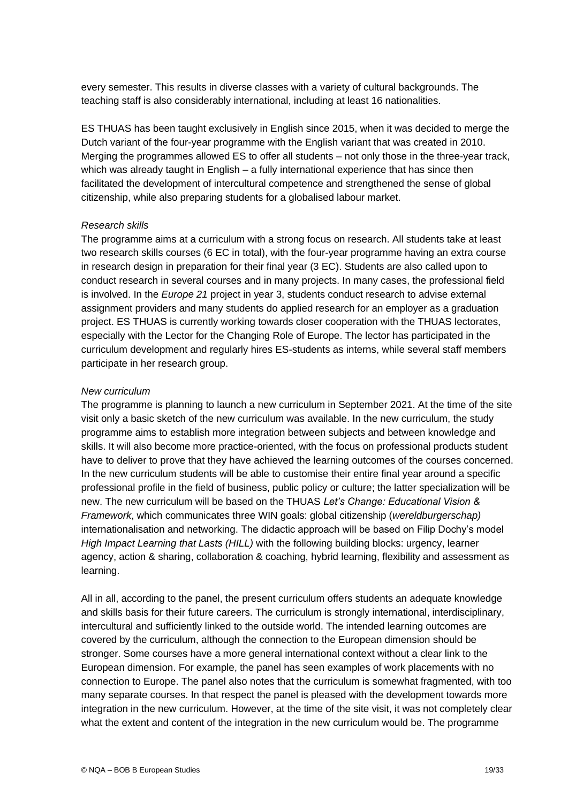every semester. This results in diverse classes with a variety of cultural backgrounds. The teaching staff is also considerably international, including at least 16 nationalities.

ES THUAS has been taught exclusively in English since 2015, when it was decided to merge the Dutch variant of the four-year programme with the English variant that was created in 2010. Merging the programmes allowed ES to offer all students – not only those in the three-year track, which was already taught in English – a fully international experience that has since then facilitated the development of intercultural competence and strengthened the sense of global citizenship, while also preparing students for a globalised labour market.

#### *Research skills*

The programme aims at a curriculum with a strong focus on research. All students take at least two research skills courses (6 EC in total), with the four-year programme having an extra course in research design in preparation for their final year (3 EC). Students are also called upon to conduct research in several courses and in many projects. In many cases, the professional field is involved. In the *Europe 21* project in year 3, students conduct research to advise external assignment providers and many students do applied research for an employer as a graduation project. ES THUAS is currently working towards closer cooperation with the THUAS lectorates, especially with the Lector for the Changing Role of Europe. The lector has participated in the curriculum development and regularly hires ES-students as interns, while several staff members participate in her research group.

#### *New curriculum*

The programme is planning to launch a new curriculum in September 2021. At the time of the site visit only a basic sketch of the new curriculum was available. In the new curriculum, the study programme aims to establish more integration between subjects and between knowledge and skills. It will also become more practice-oriented, with the focus on professional products student have to deliver to prove that they have achieved the learning outcomes of the courses concerned. In the new curriculum students will be able to customise their entire final year around a specific professional profile in the field of business, public policy or culture; the latter specialization will be new. The new curriculum will be based on the THUAS *Let's Change: Educational Vision & Framework*, which communicates three WIN goals: global citizenship (*wereldburgerschap)* internationalisation and networking. The didactic approach will be based on Filip Dochy's model *High Impact Learning that Lasts (HILL)* with the following building blocks: urgency, learner agency, action & sharing, collaboration & coaching, hybrid learning, flexibility and assessment as learning.

All in all, according to the panel, the present curriculum offers students an adequate knowledge and skills basis for their future careers. The curriculum is strongly international, interdisciplinary, intercultural and sufficiently linked to the outside world. The intended learning outcomes are covered by the curriculum, although the connection to the European dimension should be stronger. Some courses have a more general international context without a clear link to the European dimension. For example, the panel has seen examples of work placements with no connection to Europe. The panel also notes that the curriculum is somewhat fragmented, with too many separate courses. In that respect the panel is pleased with the development towards more integration in the new curriculum. However, at the time of the site visit, it was not completely clear what the extent and content of the integration in the new curriculum would be. The programme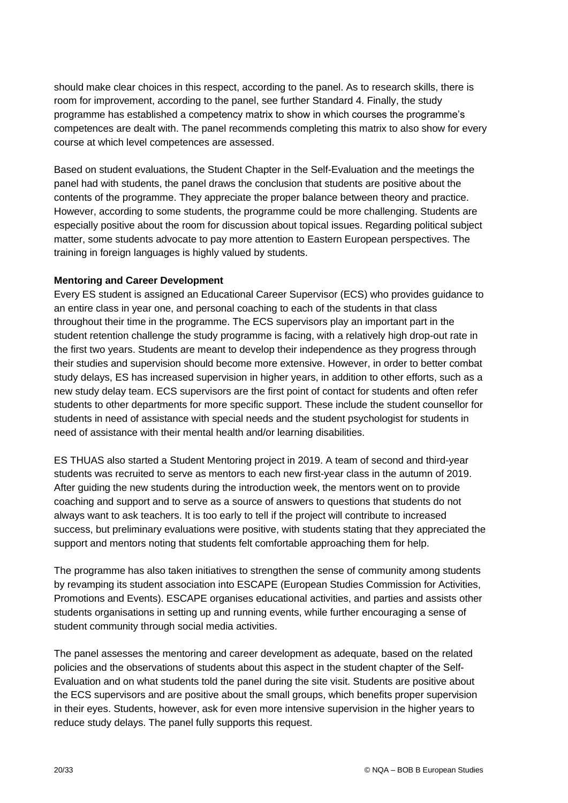should make clear choices in this respect, according to the panel. As to research skills, there is room for improvement, according to the panel, see further Standard 4. Finally, the study programme has established a competency matrix to show in which courses the programme's competences are dealt with. The panel recommends completing this matrix to also show for every course at which level competences are assessed.

Based on student evaluations, the Student Chapter in the Self-Evaluation and the meetings the panel had with students, the panel draws the conclusion that students are positive about the contents of the programme. They appreciate the proper balance between theory and practice. However, according to some students, the programme could be more challenging. Students are especially positive about the room for discussion about topical issues. Regarding political subject matter, some students advocate to pay more attention to Eastern European perspectives. The training in foreign languages is highly valued by students.

## **Mentoring and Career Development**

Every ES student is assigned an Educational Career Supervisor (ECS) who provides guidance to an entire class in year one, and personal coaching to each of the students in that class throughout their time in the programme. The ECS supervisors play an important part in the student retention challenge the study programme is facing, with a relatively high drop-out rate in the first two years. Students are meant to develop their independence as they progress through their studies and supervision should become more extensive. However, in order to better combat study delays, ES has increased supervision in higher years, in addition to other efforts, such as a new study delay team. ECS supervisors are the first point of contact for students and often refer students to other departments for more specific support. These include the student counsellor for students in need of assistance with special needs and the student psychologist for students in need of assistance with their mental health and/or learning disabilities.

ES THUAS also started a Student Mentoring project in 2019. A team of second and third-year students was recruited to serve as mentors to each new first-year class in the autumn of 2019. After guiding the new students during the introduction week, the mentors went on to provide coaching and support and to serve as a source of answers to questions that students do not always want to ask teachers. It is too early to tell if the project will contribute to increased success, but preliminary evaluations were positive, with students stating that they appreciated the support and mentors noting that students felt comfortable approaching them for help.

The programme has also taken initiatives to strengthen the sense of community among students by revamping its student association into ESCAPE (European Studies Commission for Activities, Promotions and Events). ESCAPE organises educational activities, and parties and assists other students organisations in setting up and running events, while further encouraging a sense of student community through social media activities.

The panel assesses the mentoring and career development as adequate, based on the related policies and the observations of students about this aspect in the student chapter of the Self-Evaluation and on what students told the panel during the site visit. Students are positive about the ECS supervisors and are positive about the small groups, which benefits proper supervision in their eyes. Students, however, ask for even more intensive supervision in the higher years to reduce study delays. The panel fully supports this request.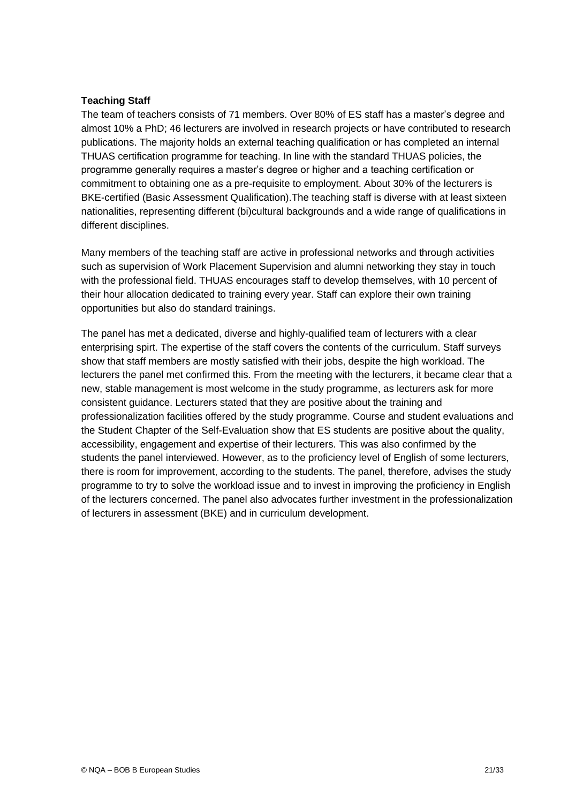#### **Teaching Staff**

The team of teachers consists of 71 members. Over 80% of ES staff has a master's degree and almost 10% a PhD; 46 lecturers are involved in research projects or have contributed to research publications. The majority holds an external teaching qualification or has completed an internal THUAS certification programme for teaching. In line with the standard THUAS policies, the programme generally requires a master's degree or higher and a teaching certification or commitment to obtaining one as a pre-requisite to employment. About 30% of the lecturers is BKE-certified (Basic Assessment Qualification).The teaching staff is diverse with at least sixteen nationalities, representing different (bi)cultural backgrounds and a wide range of qualifications in different disciplines.

Many members of the teaching staff are active in professional networks and through activities such as supervision of Work Placement Supervision and alumni networking they stay in touch with the professional field. THUAS encourages staff to develop themselves, with 10 percent of their hour allocation dedicated to training every year. Staff can explore their own training opportunities but also do standard trainings.

The panel has met a dedicated, diverse and highly-qualified team of lecturers with a clear enterprising spirt. The expertise of the staff covers the contents of the curriculum. Staff surveys show that staff members are mostly satisfied with their jobs, despite the high workload. The lecturers the panel met confirmed this. From the meeting with the lecturers, it became clear that a new, stable management is most welcome in the study programme, as lecturers ask for more consistent guidance. Lecturers stated that they are positive about the training and professionalization facilities offered by the study programme. Course and student evaluations and the Student Chapter of the Self-Evaluation show that ES students are positive about the quality, accessibility, engagement and expertise of their lecturers. This was also confirmed by the students the panel interviewed. However, as to the proficiency level of English of some lecturers, there is room for improvement, according to the students. The panel, therefore, advises the study programme to try to solve the workload issue and to invest in improving the proficiency in English of the lecturers concerned. The panel also advocates further investment in the professionalization of lecturers in assessment (BKE) and in curriculum development.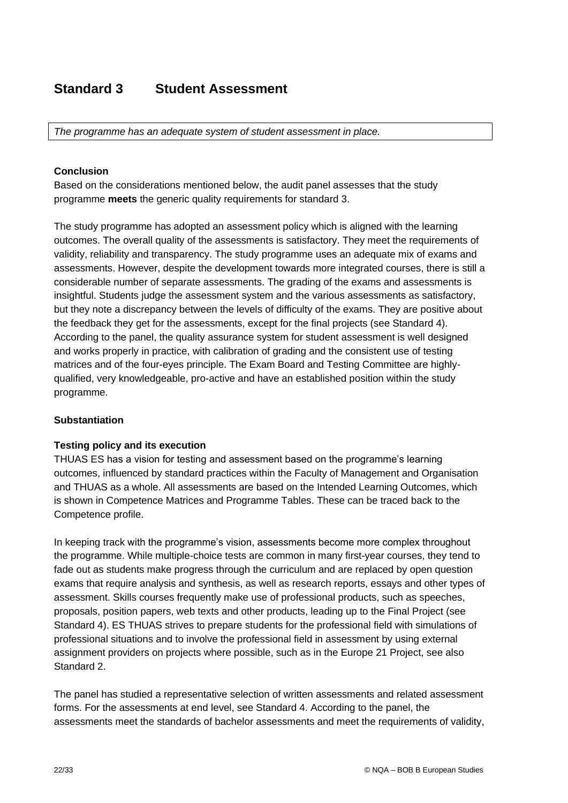# **Standard 3 Student Assessment**

*The programme has an adequate system of student assessment in place.*

#### **Conclusion**

Based on the considerations mentioned below, the audit panel assesses that the study programme **meets** the generic quality requirements for standard 3.

The study programme has adopted an assessment policy which is aligned with the learning outcomes. The overall quality of the assessments is satisfactory. They meet the requirements of validity, reliability and transparency. The study programme uses an adequate mix of exams and assessments. However, despite the development towards more integrated courses, there is still a considerable number of separate assessments. The grading of the exams and assessments is insightful. Students judge the assessment system and the various assessments as satisfactory, but they note a discrepancy between the levels of difficulty of the exams. They are positive about the feedback they get for the assessments, except for the final projects (see Standard 4). According to the panel, the quality assurance system for student assessment is well designed and works properly in practice, with calibration of grading and the consistent use of testing matrices and of the four-eyes principle. The Exam Board and Testing Committee are highlyqualified, very knowledgeable, pro-active and have an established position within the study programme.

## **Substantiation**

## **Testing policy and its execution**

THUAS ES has a vision for testing and assessment based on the programme's learning outcomes, influenced by standard practices within the Faculty of Management and Organisation and THUAS as a whole. All assessments are based on the Intended Learning Outcomes, which is shown in Competence Matrices and Programme Tables. These can be traced back to the Competence profile.

In keeping track with the programme's vision, assessments become more complex throughout the programme. While multiple-choice tests are common in many first-year courses, they tend to fade out as students make progress through the curriculum and are replaced by open question exams that require analysis and synthesis, as well as research reports, essays and other types of assessment. Skills courses frequently make use of professional products, such as speeches, proposals, position papers, web texts and other products, leading up to the Final Project (see Standard 4). ES THUAS strives to prepare students for the professional field with simulations of professional situations and to involve the professional field in assessment by using external assignment providers on projects where possible, such as in the Europe 21 Project, see also Standard 2.

The panel has studied a representative selection of written assessments and related assessment forms. For the assessments at end level, see Standard 4. According to the panel, the assessments meet the standards of bachelor assessments and meet the requirements of validity,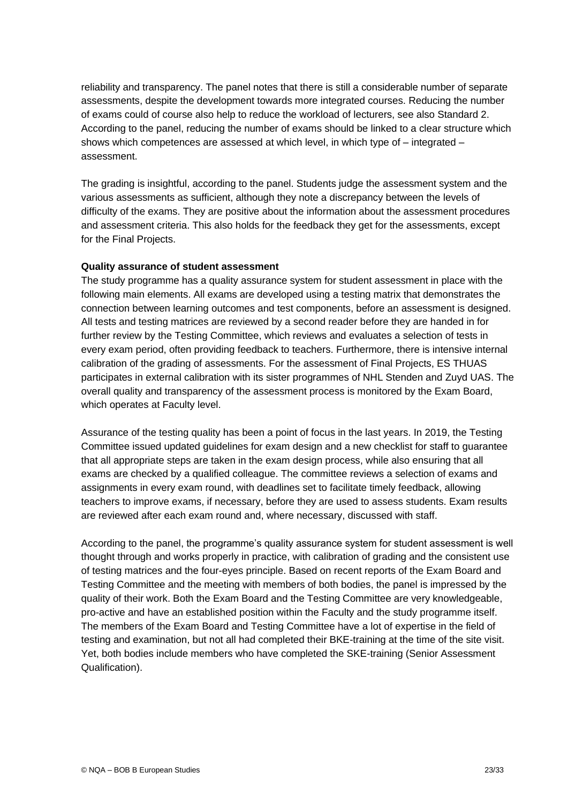reliability and transparency. The panel notes that there is still a considerable number of separate assessments, despite the development towards more integrated courses. Reducing the number of exams could of course also help to reduce the workload of lecturers, see also Standard 2. According to the panel, reducing the number of exams should be linked to a clear structure which shows which competences are assessed at which level, in which type of – integrated – assessment.

The grading is insightful, according to the panel. Students judge the assessment system and the various assessments as sufficient, although they note a discrepancy between the levels of difficulty of the exams. They are positive about the information about the assessment procedures and assessment criteria. This also holds for the feedback they get for the assessments, except for the Final Projects.

#### **Quality assurance of student assessment**

The study programme has a quality assurance system for student assessment in place with the following main elements. All exams are developed using a testing matrix that demonstrates the connection between learning outcomes and test components, before an assessment is designed. All tests and testing matrices are reviewed by a second reader before they are handed in for further review by the Testing Committee, which reviews and evaluates a selection of tests in every exam period, often providing feedback to teachers. Furthermore, there is intensive internal calibration of the grading of assessments. For the assessment of Final Projects, ES THUAS participates in external calibration with its sister programmes of NHL Stenden and Zuyd UAS. The overall quality and transparency of the assessment process is monitored by the Exam Board, which operates at Faculty level.

Assurance of the testing quality has been a point of focus in the last years. In 2019, the Testing Committee issued updated guidelines for exam design and a new checklist for staff to guarantee that all appropriate steps are taken in the exam design process, while also ensuring that all exams are checked by a qualified colleague. The committee reviews a selection of exams and assignments in every exam round, with deadlines set to facilitate timely feedback, allowing teachers to improve exams, if necessary, before they are used to assess students. Exam results are reviewed after each exam round and, where necessary, discussed with staff.

According to the panel, the programme's quality assurance system for student assessment is well thought through and works properly in practice, with calibration of grading and the consistent use of testing matrices and the four-eyes principle. Based on recent reports of the Exam Board and Testing Committee and the meeting with members of both bodies, the panel is impressed by the quality of their work. Both the Exam Board and the Testing Committee are very knowledgeable, pro-active and have an established position within the Faculty and the study programme itself. The members of the Exam Board and Testing Committee have a lot of expertise in the field of testing and examination, but not all had completed their BKE-training at the time of the site visit. Yet, both bodies include members who have completed the SKE-training (Senior Assessment Qualification).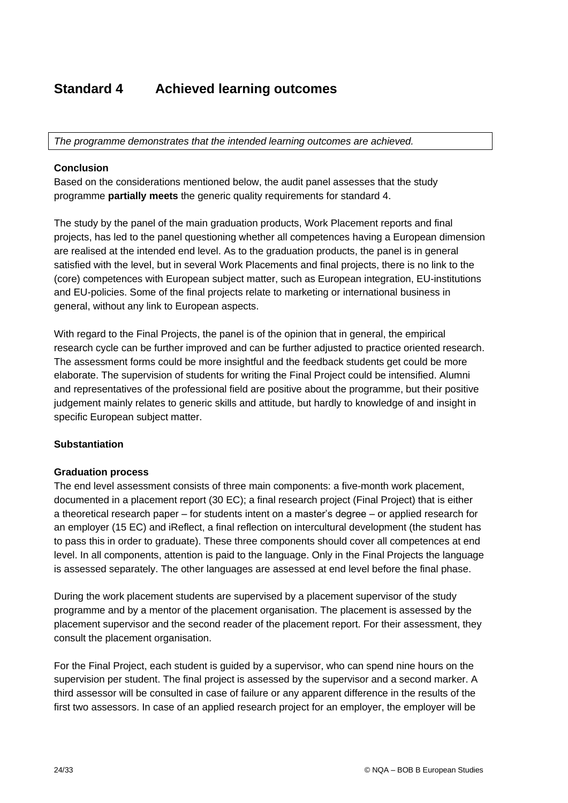# <span id="page-23-0"></span>**Standard 4 Achieved learning outcomes**

*The programme demonstrates that the intended learning outcomes are achieved.*

#### **Conclusion**

Based on the considerations mentioned below, the audit panel assesses that the study programme **partially meets** the generic quality requirements for standard 4.

The study by the panel of the main graduation products, Work Placement reports and final projects, has led to the panel questioning whether all competences having a European dimension are realised at the intended end level. As to the graduation products, the panel is in general satisfied with the level, but in several Work Placements and final projects, there is no link to the (core) competences with European subject matter, such as European integration, EU-institutions and EU-policies. Some of the final projects relate to marketing or international business in general, without any link to European aspects.

With regard to the Final Projects, the panel is of the opinion that in general, the empirical research cycle can be further improved and can be further adjusted to practice oriented research. The assessment forms could be more insightful and the feedback students get could be more elaborate. The supervision of students for writing the Final Project could be intensified. Alumni and representatives of the professional field are positive about the programme, but their positive judgement mainly relates to generic skills and attitude, but hardly to knowledge of and insight in specific European subject matter.

#### **Substantiation**

#### **Graduation process**

The end level assessment consists of three main components: a five-month work placement, documented in a placement report (30 EC); a final research project (Final Project) that is either a theoretical research paper – for students intent on a master's degree – or applied research for an employer (15 EC) and iReflect, a final reflection on intercultural development (the student has to pass this in order to graduate). These three components should cover all competences at end level. In all components, attention is paid to the language. Only in the Final Projects the language is assessed separately. The other languages are assessed at end level before the final phase.

During the work placement students are supervised by a placement supervisor of the study programme and by a mentor of the placement organisation. The placement is assessed by the placement supervisor and the second reader of the placement report. For their assessment, they consult the placement organisation.

For the Final Project, each student is guided by a supervisor, who can spend nine hours on the supervision per student. The final project is assessed by the supervisor and a second marker. A third assessor will be consulted in case of failure or any apparent difference in the results of the first two assessors. In case of an applied research project for an employer, the employer will be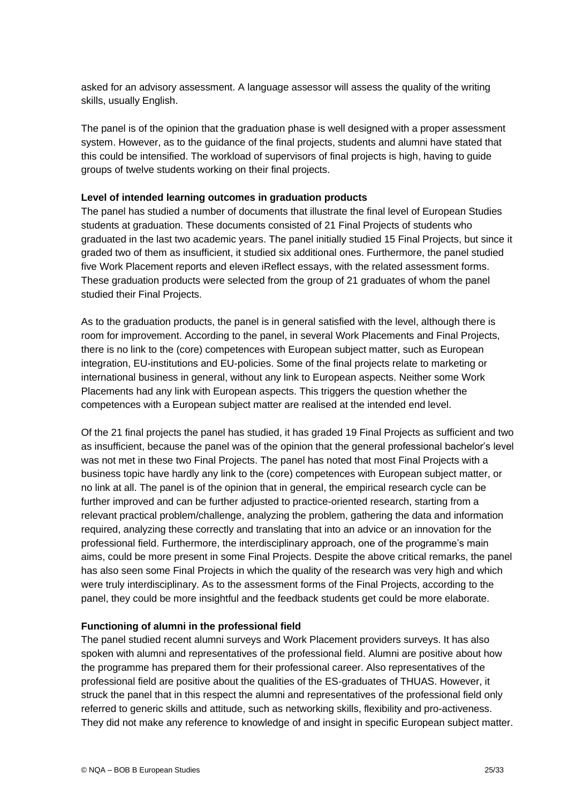asked for an advisory assessment. A language assessor will assess the quality of the writing skills, usually English.

The panel is of the opinion that the graduation phase is well designed with a proper assessment system. However, as to the guidance of the final projects, students and alumni have stated that this could be intensified. The workload of supervisors of final projects is high, having to guide groups of twelve students working on their final projects.

#### **Level of intended learning outcomes in graduation products**

The panel has studied a number of documents that illustrate the final level of European Studies students at graduation. These documents consisted of 21 Final Projects of students who graduated in the last two academic years. The panel initially studied 15 Final Projects, but since it graded two of them as insufficient, it studied six additional ones. Furthermore, the panel studied five Work Placement reports and eleven iReflect essays, with the related assessment forms. These graduation products were selected from the group of 21 graduates of whom the panel studied their Final Projects.

As to the graduation products, the panel is in general satisfied with the level, although there is room for improvement. According to the panel, in several Work Placements and Final Projects, there is no link to the (core) competences with European subject matter, such as European integration, EU-institutions and EU-policies. Some of the final projects relate to marketing or international business in general, without any link to European aspects. Neither some Work Placements had any link with European aspects. This triggers the question whether the competences with a European subject matter are realised at the intended end level.

Of the 21 final projects the panel has studied, it has graded 19 Final Projects as sufficient and two as insufficient, because the panel was of the opinion that the general professional bachelor's level was not met in these two Final Projects. The panel has noted that most Final Projects with a business topic have hardly any link to the (core) competences with European subject matter, or no link at all. The panel is of the opinion that in general, the empirical research cycle can be further improved and can be further adjusted to practice-oriented research, starting from a relevant practical problem/challenge, analyzing the problem, gathering the data and information required, analyzing these correctly and translating that into an advice or an innovation for the professional field. Furthermore, the interdisciplinary approach, one of the programme's main aims, could be more present in some Final Projects. Despite the above critical remarks, the panel has also seen some Final Projects in which the quality of the research was very high and which were truly interdisciplinary. As to the assessment forms of the Final Projects, according to the panel, they could be more insightful and the feedback students get could be more elaborate.

## **Functioning of alumni in the professional field**

The panel studied recent alumni surveys and Work Placement providers surveys. It has also spoken with alumni and representatives of the professional field. Alumni are positive about how the programme has prepared them for their professional career. Also representatives of the professional field are positive about the qualities of the ES-graduates of THUAS. However, it struck the panel that in this respect the alumni and representatives of the professional field only referred to generic skills and attitude, such as networking skills, flexibility and pro-activeness. They did not make any reference to knowledge of and insight in specific European subject matter.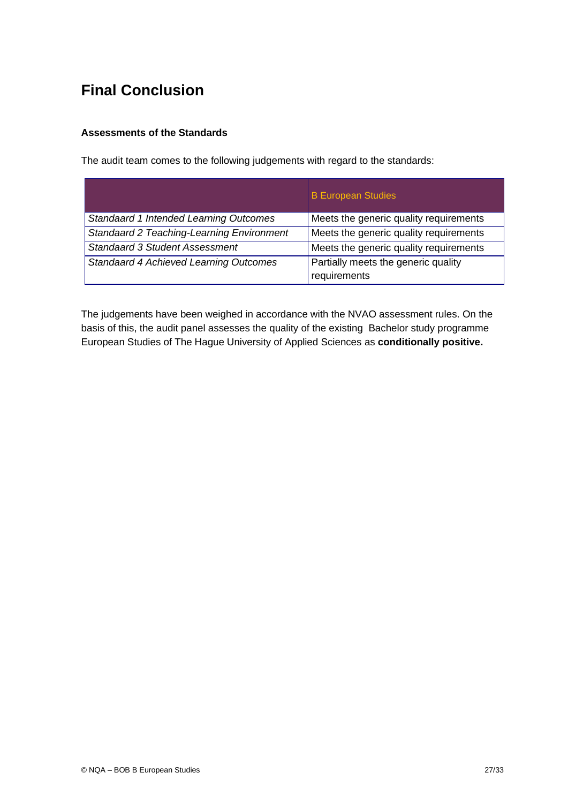# <span id="page-26-0"></span>**Final Conclusion**

## **Assessments of the Standards**

The audit team comes to the following judgements with regard to the standards:

|                                           | <b>B European Studies</b>              |
|-------------------------------------------|----------------------------------------|
| Standaard 1 Intended Learning Outcomes    | Meets the generic quality requirements |
| Standaard 2 Teaching-Learning Environment | Meets the generic quality requirements |
| <b>Standaard 3 Student Assessment</b>     | Meets the generic quality requirements |
| Standaard 4 Achieved Learning Outcomes    | Partially meets the generic quality    |
|                                           | requirements                           |

The judgements have been weighed in accordance with the NVAO assessment rules. On the basis of this, the audit panel assesses the quality of the existing Bachelor study programme European Studies of The Hague University of Applied Sciences as **conditionally positive.**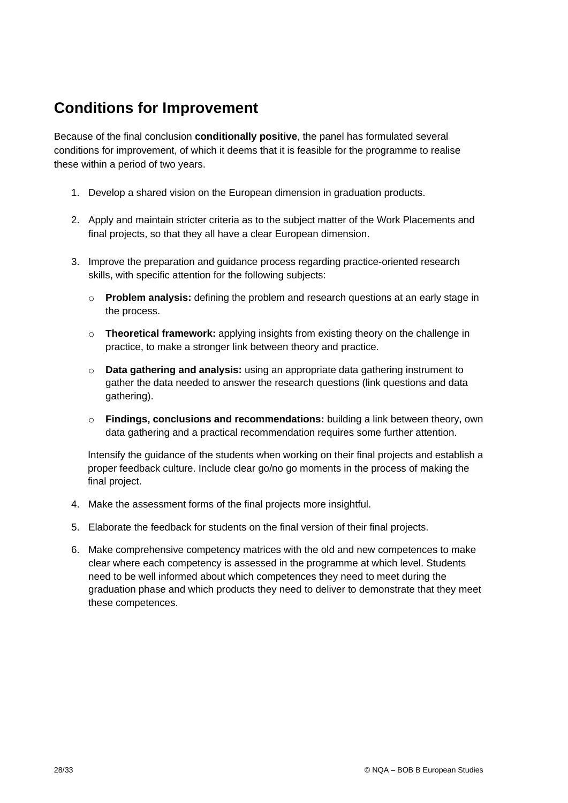# **Conditions for Improvement**

Because of the final conclusion **conditionally positive**, the panel has formulated several conditions for improvement, of which it deems that it is feasible for the programme to realise these within a period of two years.

- 1. Develop a shared vision on the European dimension in graduation products.
- 2. Apply and maintain stricter criteria as to the subject matter of the Work Placements and final projects, so that they all have a clear European dimension.
- 3. Improve the preparation and guidance process regarding practice-oriented research skills, with specific attention for the following subjects:
	- o **Problem analysis:** defining the problem and research questions at an early stage in the process.
	- o **Theoretical framework:** applying insights from existing theory on the challenge in practice, to make a stronger link between theory and practice.
	- o **Data gathering and analysis:** using an appropriate data gathering instrument to gather the data needed to answer the research questions (link questions and data gathering).
	- o **Findings, conclusions and recommendations:** building a link between theory, own data gathering and a practical recommendation requires some further attention.

Intensify the guidance of the students when working on their final projects and establish a proper feedback culture. Include clear go/no go moments in the process of making the final project.

- 4. Make the assessment forms of the final projects more insightful.
- 5. Elaborate the feedback for students on the final version of their final projects.
- 6. Make comprehensive competency matrices with the old and new competences to make clear where each competency is assessed in the programme at which level. Students need to be well informed about which competences they need to meet during the graduation phase and which products they need to deliver to demonstrate that they meet these competences.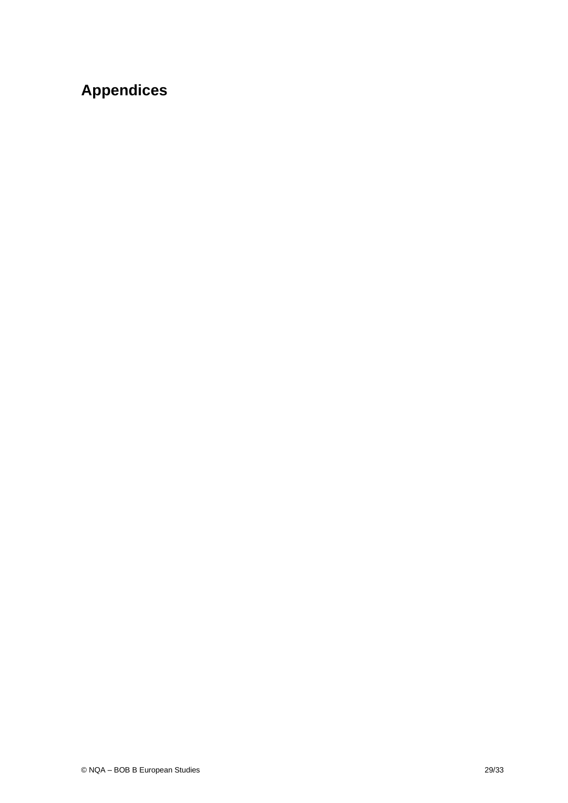# <span id="page-28-0"></span>**Appendices**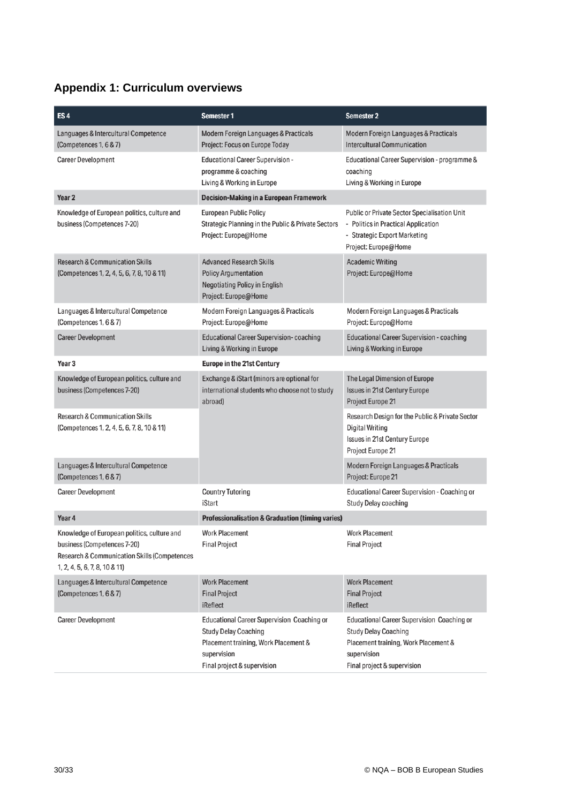# <span id="page-29-0"></span>**Appendix 1: Curriculum overviews**

| ES <sub>4</sub>                                                                                                                                                        | <b>Semester 1</b>                                                                                                                                                      | Semester 2                                                                                                                                                             |
|------------------------------------------------------------------------------------------------------------------------------------------------------------------------|------------------------------------------------------------------------------------------------------------------------------------------------------------------------|------------------------------------------------------------------------------------------------------------------------------------------------------------------------|
| Languages & Intercultural Competence<br>(Competences 1, 6 & 7)                                                                                                         | Modern Foreign Languages & Practicals<br>Project: Focus on Europe Today                                                                                                | Modern Foreign Languages & Practicals<br><b>Intercultural Communication</b>                                                                                            |
| <b>Career Development</b>                                                                                                                                              | <b>Educational Career Supervision -</b><br>programme & coaching<br>Living & Working in Europe                                                                          | Educational Career Supervision - programme &<br>coaching<br>Living & Working in Europe                                                                                 |
| Year <sub>2</sub>                                                                                                                                                      | <b>Decision-Making in a European Framework</b>                                                                                                                         |                                                                                                                                                                        |
| Knowledge of European politics, culture and<br>business (Competences 7-20)                                                                                             | <b>European Public Policy</b><br>Strategic Planning in the Public & Private Sectors<br>Project: Europe@Home                                                            | <b>Public or Private Sector Specialisation Unit</b><br>- Politics in Practical Application<br>- Strategic Export Marketing<br>Project: Europe@Home                     |
| <b>Research &amp; Communication Skills</b><br>(Competences 1, 2, 4, 5, 6, 7, 8, 10 & 11)                                                                               | <b>Advanced Research Skills</b><br><b>Policy Argumentation</b><br><b>Negotiating Policy in English</b><br>Project: Europe@Home                                         | <b>Academic Writing</b><br>Project: Europe@Home                                                                                                                        |
| Languages & Intercultural Competence<br>(Competences 1, 6 & 7)                                                                                                         | Modern Foreign Languages & Practicals<br>Project: Europe@Home                                                                                                          | Modern Foreign Languages & Practicals<br>Project: Europe@Home                                                                                                          |
| <b>Career Development</b>                                                                                                                                              | <b>Educational Career Supervision-coaching</b><br>Living & Working in Europe                                                                                           | <b>Educational Career Supervision - coaching</b><br>Living & Working in Europe                                                                                         |
| Year 3                                                                                                                                                                 | <b>Europe in the 21st Century</b>                                                                                                                                      |                                                                                                                                                                        |
| Knowledge of European politics, culture and<br>business (Competences 7-20)                                                                                             | Exchange & iStart (minors are optional for<br>international students who choose not to study<br>abroad)                                                                | The Legal Dimension of Europe<br><b>Issues in 21st Century Europe</b><br>Project Europe 21                                                                             |
| <b>Research &amp; Communication Skills</b><br>(Competences 1, 2, 4, 5, 6, 7, 8, 10 & 11)                                                                               |                                                                                                                                                                        | Research Design for the Public & Private Sector<br><b>Digital Writing</b><br><b>Issues in 21st Century Europe</b><br>Project Europe 21                                 |
| Languages & Intercultural Competence<br>(Competences 1, 6 & 7)                                                                                                         |                                                                                                                                                                        | Modern Foreign Languages & Practicals<br>Project: Europe 21                                                                                                            |
| <b>Career Development</b>                                                                                                                                              | <b>Country Tutoring</b><br>iStart                                                                                                                                      | Educational Career Supervision - Coaching or<br>Study Delay coaching                                                                                                   |
| Year 4                                                                                                                                                                 | <b>Professionalisation &amp; Graduation (timing varies)</b>                                                                                                            |                                                                                                                                                                        |
| Knowledge of European politics, culture and<br>business (Competences 7-20)<br><b>Research &amp; Communication Skills (Competences</b><br>1, 2, 4, 5, 6, 7, 8, 10 & 11) | Work Placement<br><b>Final Project</b>                                                                                                                                 | Work Placement<br><b>Final Project</b>                                                                                                                                 |
| Languages & Intercultural Competence<br>(Competences 1, 6 & 7)                                                                                                         | <b>Work Placement</b><br><b>Final Project</b><br>iReflect                                                                                                              | <b>Work Placement</b><br><b>Final Project</b><br>iReflect                                                                                                              |
| <b>Career Development</b>                                                                                                                                              | <b>Educational Career Supervision Coaching or</b><br><b>Study Delay Coaching</b><br>Placement training, Work Placement &<br>supervision<br>Final project & supervision | <b>Educational Career Supervision Coaching or</b><br><b>Study Delay Coaching</b><br>Placement training, Work Placement &<br>supervision<br>Final project & supervision |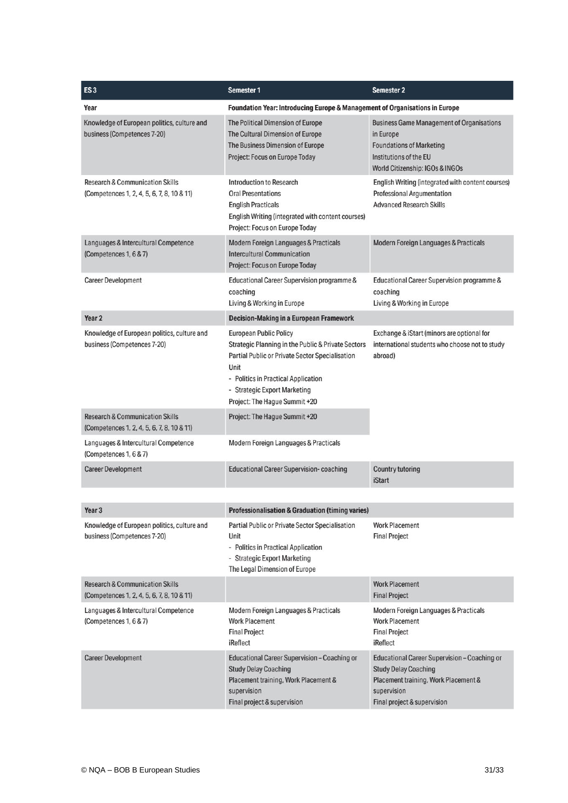| ES <sub>3</sub>                                                                          | <b>Semester 1</b>                                                                                                                                                                                                                                      | <b>Semester 2</b>                                                                                                                                                 |
|------------------------------------------------------------------------------------------|--------------------------------------------------------------------------------------------------------------------------------------------------------------------------------------------------------------------------------------------------------|-------------------------------------------------------------------------------------------------------------------------------------------------------------------|
| Year                                                                                     | Foundation Year: Introducing Europe & Management of Organisations in Europe                                                                                                                                                                            |                                                                                                                                                                   |
| Knowledge of European politics, culture and<br>business (Competences 7-20)               | The Political Dimension of Europe<br>The Cultural Dimension of Europe<br>The Business Dimension of Europe<br>Project: Focus on Europe Today                                                                                                            | <b>Business Game Management of Organisations</b><br>in Europe<br><b>Foundations of Marketing</b><br>Institutions of the EU<br>World Citizenship: IGOs & INGOs     |
| <b>Research &amp; Communication Skills</b><br>(Competences 1, 2, 4, 5, 6, 7, 8, 10 & 11) | <b>Introduction to Research</b><br><b>Oral Presentations</b><br><b>English Practicals</b><br>English Writing (integrated with content courses)<br>Project: Focus on Europe Today                                                                       | English Writing (integrated with content courses)<br>Professional Argumentation<br><b>Advanced Research Skills</b>                                                |
| Languages & Intercultural Competence<br>(Competences 1, 6 & 7)                           | Modern Foreign Languages & Practicals<br><b>Intercultural Communication</b><br>Project: Focus on Europe Today                                                                                                                                          | Modern Foreign Languages & Practicals                                                                                                                             |
| <b>Career Development</b>                                                                | Educational Career Supervision programme &<br>coaching<br>Living & Working in Europe                                                                                                                                                                   | Educational Career Supervision programme &<br>coaching<br>Living & Working in Europe                                                                              |
| Year <sub>2</sub>                                                                        | <b>Decision-Making in a European Framework</b>                                                                                                                                                                                                         |                                                                                                                                                                   |
| Knowledge of European politics, culture and<br>business (Competences 7-20)               | <b>European Public Policy</b><br>Strategic Planning in the Public & Private Sectors<br>Partial Public or Private Sector Specialisation<br>Unit<br>- Politics in Practical Application<br>- Strategic Export Marketing<br>Project: The Hague Summit +20 | Exchange & iStart (minors are optional for<br>international students who choose not to study<br>abroad)                                                           |
| <b>Research &amp; Communication Skills</b><br>(Competences 1, 2, 4, 5, 6, 7, 8, 10 & 11) | Project: The Hague Summit +20                                                                                                                                                                                                                          |                                                                                                                                                                   |
| Languages & Intercultural Competence<br>(Competences 1, 6 & 7)                           | Modern Foreign Languages & Practicals                                                                                                                                                                                                                  |                                                                                                                                                                   |
| <b>Career Development</b>                                                                | <b>Educational Career Supervision- coaching</b>                                                                                                                                                                                                        | <b>Country tutoring</b><br><b>iStart</b>                                                                                                                          |
|                                                                                          |                                                                                                                                                                                                                                                        |                                                                                                                                                                   |
| Year 3                                                                                   | <b>Professionalisation &amp; Graduation (timing varies)</b>                                                                                                                                                                                            |                                                                                                                                                                   |
| Knowledge of European politics, culture and<br>business (Competences 7-20)               | <b>Partial Public or Private Sector Specialisation</b><br>Unit<br>- Politics in Practical Application<br>- Strategic Export Marketing<br>The Legal Dimension of Europe                                                                                 | <b>Work Placement</b><br><b>Final Project</b>                                                                                                                     |
| <b>Research &amp; Communication Skills</b><br>(Competences 1, 2, 4, 5, 6, 7, 8, 10 & 11) |                                                                                                                                                                                                                                                        | <b>Work Placement</b><br><b>Final Project</b>                                                                                                                     |
| Languages & Intercultural Competence<br>(Competences 1, 6 & 7)                           | Modern Foreign Languages & Practicals<br><b>Work Placement</b><br><b>Final Project</b><br>iReflect                                                                                                                                                     | Modern Foreign Languages & Practicals<br><b>Work Placement</b><br><b>Final Project</b><br>iReflect                                                                |
| <b>Career Development</b>                                                                | Educational Career Supervision - Coaching or<br><b>Study Delay Coaching</b><br>Placement training, Work Placement &<br>supervision<br>Final project & supervision                                                                                      | Educational Career Supervision - Coaching or<br><b>Study Delay Coaching</b><br>Placement training, Work Placement &<br>supervision<br>Final project & supervision |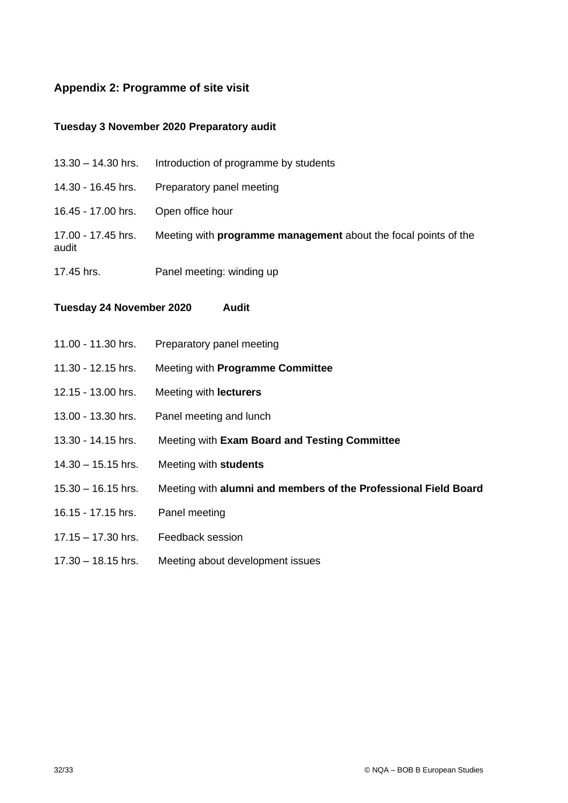## <span id="page-31-0"></span>**Appendix 2: Programme of site visit**

## **Tuesday 3 November 2020 Preparatory audit**

| $13.30 - 14.30$ hrs.        | Introduction of programme by students                                  |
|-----------------------------|------------------------------------------------------------------------|
| 14.30 - 16.45 hrs.          | Preparatory panel meeting                                              |
| 16.45 - 17.00 hrs.          | Open office hour                                                       |
| 17.00 - 17.45 hrs.<br>audit | Meeting with <b>programme management</b> about the focal points of the |
| 17.45 hrs.                  | Panel meeting: winding up                                              |

**Tuesday 24 November 2020 Audit**

| 11.00 - 11.30 hrs.   | Preparatory panel meeting                                       |
|----------------------|-----------------------------------------------------------------|
| 11.30 - 12.15 hrs.   | Meeting with Programme Committee                                |
| 12.15 - 13.00 hrs.   | Meeting with <b>lecturers</b>                                   |
| 13.00 - 13.30 hrs.   | Panel meeting and lunch                                         |
| 13.30 - 14.15 hrs.   | Meeting with Exam Board and Testing Committee                   |
| $14.30 - 15.15$ hrs. | Meeting with students                                           |
| $15.30 - 16.15$ hrs. | Meeting with alumni and members of the Professional Field Board |
| 16.15 - 17.15 hrs.   | Panel meeting                                                   |
| $17.15 - 17.30$ hrs. | Feedback session                                                |
| $17.30 - 18.15$ hrs. | Meeting about development issues                                |